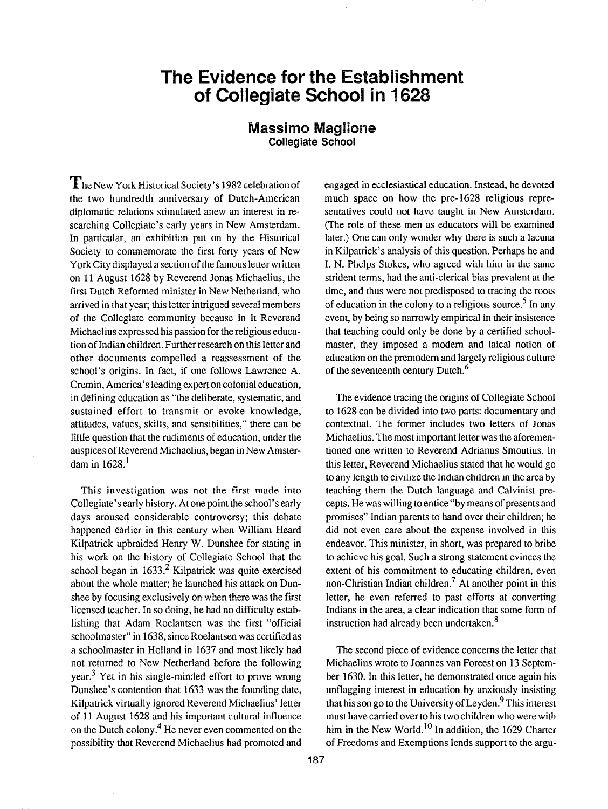## The Evidence for the Establishment of Collegiate School in 162

## Massimo Maglione Collegiate Schooi

he New York Historical Society's 1982 celebration of the two hundredth anniversary of Dutch-American diplomatic relations stimulated anew an interest in researching Collegiate's early years in New Amsterdam. In particular, an exhibition put on by the Historical Society to commemorate the first forty years of New York City displayed a section of the famous letter written on 11 August 1628 by Reverend Jonas Michaelius, the first Dutch Reformed minister in New Netherland, who arrived in that year; this letter intrigued several members of the Collegiate community because in it Reverend Michaelius expressed his passion for the religious education of Indian children. Further research on this letter and other documents compelled a reassessment of the school's origins. In fact, if one follows Lawrence A. Cremin, America's leading expert on colonial education, in defining education as "the deliberate, systematic, and sustained effort to transmit or evoke knowledge, attitudes, values, skills, and sensibilities," there can be little question that the rudimems of education, under the auspices of Reverend Michaelius, began in New Amsterdam in  $1628$ <sup>1</sup>

This investigation was not the first made into Collegiate's early history. At one point the school's early days -aroused considerable controversy; this debate happened carlicr in this century when William Heard Kilpatrick upbraided Henry W. Dunshee for stating in his work on the history of Collegiate School that the school began in  $1633.<sup>2</sup>$  Kilpatrick was quite exercised about the whole matter; he launched his attack on Dunshee by focusing exclusively on when there was the first liccnscd teacher. In so doing, he had no difficulty establishing that Adam Roelantsen was the first "official schoolmaster" in 1638, since Roelantsen was certified as a schoolmaster in Holland in 1637 and most likely had not returned to New Netherland before the following year.3 Yet in his single-minded effort to prove wrong Dunshee's contention that 1633 was the founding date, Kilpatrick virtually ignored Reverend Michaelius' letter of 11 August 1628 and his important cultural influence on the Dutch colony.<sup>4</sup> He never even commented on the possibility that Reverend Michaelius had promoted and engaged in ecclesiastical education. Instead, he devoted much space on how the pre-1628 religious representatives could not have taught in New Amsterdam. (The role of these men as educators will be examined later.) One can only wonder why there is such a lacuna in Kilpatrick's analysis of this question. Perhaps he and I. N. Phelps Stokes, who agreed with him in the same strident terms, had the anti-clerical bias prevalent at the time, and thus were not predisposed to tracing the roots of education in the colony to a religious source.<sup>5</sup> In any event, by being so narrowly empirical in their insistence that teaching could only be done by a certified schoolmaster, they imposed a modem and laical notion of education on the premodem and largely religious culture of the seventeenth century Dutch.<sup>6</sup>

The evidence tracing the origins of Collegiate School to 1628 can be divided into two parts: documentary and contextual. The former includes two letters of Jonas Michaelius. The most important letter was the aforementioned one written to Reverend Adrianus Smoutius. In this letter, Reverend Michaelius stated that he would go to any length to civilize the Indian children in the area by teaching them the Dutch language and Calvinist precepts. He was willing to entice "by means of presents and promises" Indian parents to hand over their children; he did not even care about the expense involved in this endeavor. This minister, in short, was prepared to bribe to achieve his goal. Such a strong statement evinces the extent of his commitment to educating children, even non-Christian Indian children.7 At another point in this letter, he even referred to past efforts at converting Indians in the area, a clear indication that some form of instruction had already been undertaken.<sup>8</sup>

The second piece of evidence concerns the letter that Michaelius wrote to Joannes van Foreest on 13 September 1630. In this letter, he demonstrated once again his unflagging interest in education by anxiously insisting that his son go to the University of Leyden.  $9$  This interest must have carried over to his two children who were with him in the New World.<sup>10</sup> In addition, the 1629 Charter of Freedoms and Exemptions lends support to the argu-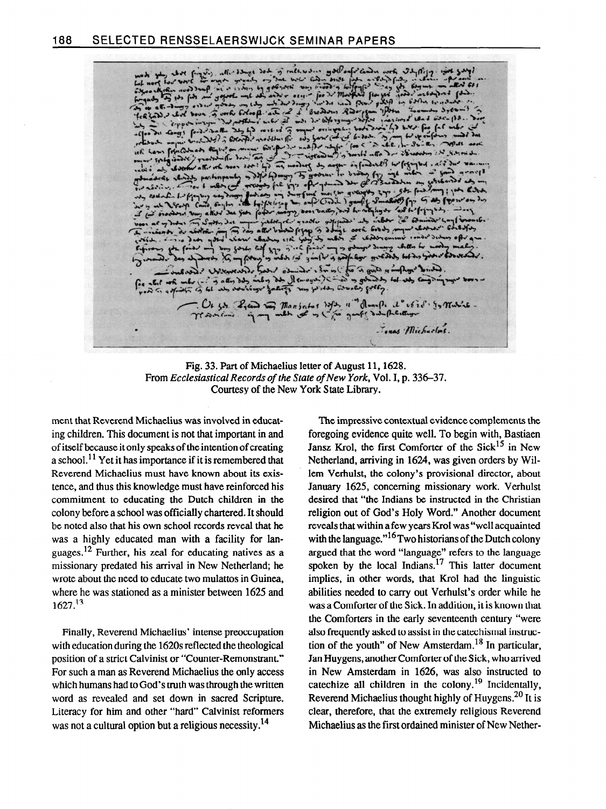nas Michaelms.

Fig. 33. Part of Michaelius letter of August 11,1628. From Ecclesiastical Records of the State of New York, Vol. I, p. 336-37. Courtesy of the New York State Library.

ment that Reverend Michaelius was involved in educating children. This document is not that important in and of itself because it only speaks of the intention of creating a school.<sup>11</sup> Yet it has importance if it is remembered that Reverend Michaelius must have known about its existence, and thus this knowledge must have reinforced his commitment to educating the Dutch children in the colony before a school was officially chartered. It should be noted also that his own school records reveal that he was a highly educated man with a facility for languages.<sup>12</sup> Further, his zeal for educating natives as a missionary predated his arrival in New Netherland; he wrote about the need to educate two mulattos in Guinea, where he was stationed as a minister between 1625 and  $1627.<sup>13</sup>$ 

Finally, Reverend Michaelius' intense preoccupation with education during the 1620s reflected the theological position of a strict Calvinist or "Counter-Remonstrant." For such a man as Reverend Michaelius the only access which humans had to God's truth was through the written word as revealed and set down in sacred Scripture. Literacy for him and other "hard" Calvinist reformers was not a cultural option but a religious necessity.<sup>14</sup>

The impressive contextual evidence complements the foregoing evidence quite well. To begin with, Bastiaen Jansz Krol, the first Comforter of the Sick $^{15}$  in New Netherland, arriving in 1624, was given orders by Willem Verhulst, the colony's provisional director, about January 1625, concerning missionary work. Verhulst desired that "the Indians be instructed in the Christian religion out of God's Holy Word." Another document reveals that within a few years Krol was "well acquainted with the language."<sup>16</sup> Two historians of the Dutch colony argued that the word "language" refers to the language spoken by the local Indians.<sup>17</sup> This latter document implies, in other words, that Krol had the linguistic abilities needed to carry out Verhulst's order while he was a Comforter of the Sick. In addition, it is known that the Comforters in the early seventeenth century "were also frequently asked to assist in the catechismal instruction of the youth" of New Amsterdam.<sup>18</sup> In particular, Jan Huygens, another Comforter of the Sick, who arrived in New Amsterdam in 1626, was also instructed to catechize all children in the colony.<sup>19</sup> Incidentally, Reverend Michaelius thought highly of Huygens.<sup>20</sup> It is clear, therefore, that the extremely religious Reverend Michaelius as the first ordained minister of New Nether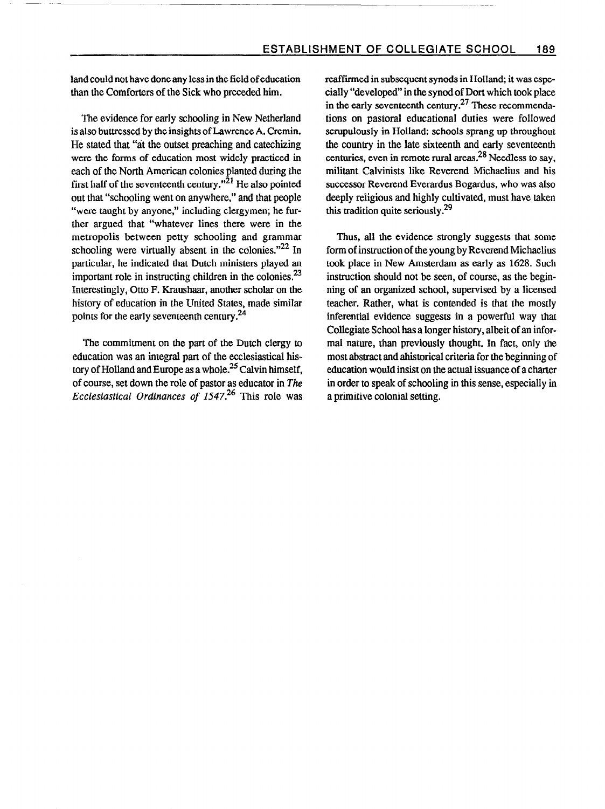land could not have done any less in the field of education than the Comforters of the Sick who preceded him.

The evidence for early schooling in New Netherland is also buttressed by the insights of Lawrence A. Cremin. He stated that "at the outset preaching and catechizing were the forms of education most widely practiced in each of the North American colonies planted during the first half of the seventeenth century. $^{n\bar{2}1}$  He also pointed out that "schooling went on anywhere," and that people "were taught by anyone," including clergymen; he further argued that "whatever lines there were in the metropolis between petty schooling and grammar schooling were virtually absent in the colonies."<sup>22</sup> In particular, he indicated that Dutch ministers played an important role in instructing children in the colonies.<sup>23</sup> Interestingly, Otto F. Kraushaar, another scholar on the history of education in the United States, made similar points for the early seventeenth century.24

The commitment on the part of the Dutch clergy to education was an integral part of the ecclesiastical history of Holland and Europe as a whole.<sup>25</sup> Calvin himself, of course, set down the role of pastor as educator in The Ecclesiastical Ordinances of  $1547<sup>26</sup>$  This role was reaffirmed in subsequent synods in Holland; it was especially "developed" in the synod of Dort which took place in the early seventeenth century. $27$  These recommendations on pastoral educational duties were followed scrupulously in Holland: schools sprang up throughout the country in the late sixteenth and early seventeenth centuries, even in remote rural areas.<sup>28</sup> Needless to say, militant Calvinists like Reverend Michaelius and his successor Reverend Everardus Bogardus, who was also deeply religious and highly cultivated, must have taken this tradition quite seriously.<sup>29</sup>

Thus, all the evidence strongly suggests that some form of instruction of the young by Reverend Michaelius took place in New Amsterdam as early as 1628. Such instruction should not be seen, of course, as the beginning of an organized school, supervised by a licensed teacher. Rather, what is contended is that the mostly inferential evidence suggests in a powerful way that Collegiate School has a longer history, albeit of an informal nature, than previously thought. In fact, only the most abstract and ahistorical criteria for the beginning of education would insist on the actual issuance of a charter in order to speak of schooling in this sense, especially in a primitive colonial setting.